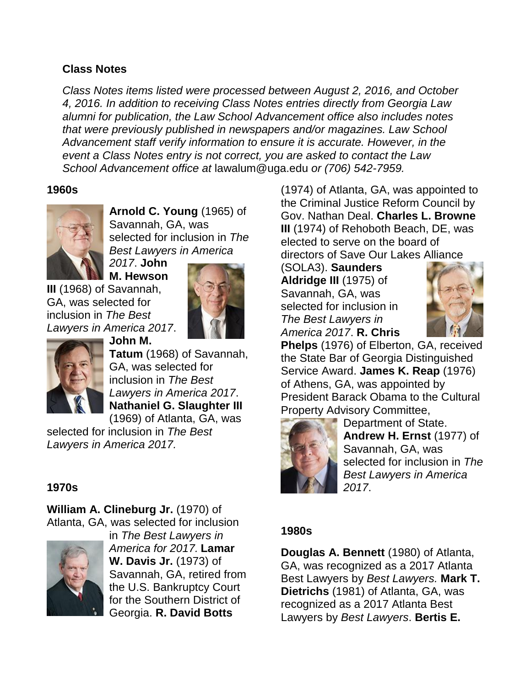## **Class Notes**

*Class Notes items listed were processed between August 2, 2016, and October 4, 2016. In addition to receiving Class Notes entries directly from Georgia Law alumni for publication, the Law School Advancement office also includes notes that were previously published in newspapers and/or magazines. Law School Advancement staff verify information to ensure it is accurate. However, in the event a Class Notes entry is not correct, you are asked to contact the Law School Advancement office at* lawalum@uga.edu *or (706) 542-7959.*

### **1960s**



**Arnold C. Young** (1965) of Savannah, GA, was selected for inclusion in *The Best Lawyers in America* 

*2017*. **John M. Hewson** 

**III** (1968) of Savannah, GA, was selected for inclusion in *The Best Lawyers in America 2017*.





**John M. Tatum** (1968) of Savannah, GA, was selected for inclusion in *The Best Lawyers in America 2017*. **Nathaniel G. Slaughter III** (1969) of Atlanta, GA, was

selected for inclusion in *The Best Lawyers in America 2017.*

# **1970s**

**William A. Clineburg Jr.** (1970) of Atlanta, GA, was selected for inclusion



in *The Best Lawyers in America for 2017.* **Lamar W. Davis Jr.** (1973) of Savannah, GA, retired from the U.S. Bankruptcy Court for the Southern District of Georgia. **R. David Botts**

(1974) of Atlanta, GA, was appointed to the Criminal Justice Reform Council by Gov. Nathan Deal. **Charles L. Browne III** (1974) of Rehoboth Beach, DE, was elected to serve on the board of directors of Save Our Lakes Alliance

(SOLA3). **Saunders Aldridge III** (1975) of Savannah, GA, was selected for inclusion in *The Best Lawyers in America 2017*. **R. Chris** 



**Phelps** (1976) of Elberton, GA, received the State Bar of Georgia Distinguished Service Award. **James K. Reap** (1976) of Athens, GA, was appointed by President Barack Obama to the Cultural Property Advisory Committee,



Department of State. **Andrew H. Ernst** (1977) of Savannah, GA, was selected for inclusion in *The Best Lawyers in America 2017*.

#### **1980s**

**Douglas A. Bennett** (1980) of Atlanta, GA, was recognized as a 2017 Atlanta Best Lawyers by *Best Lawyers.* **Mark T. Dietrichs** (1981) of Atlanta, GA, was recognized as a 2017 Atlanta Best Lawyers by *Best Lawyers*. **Bertis E.**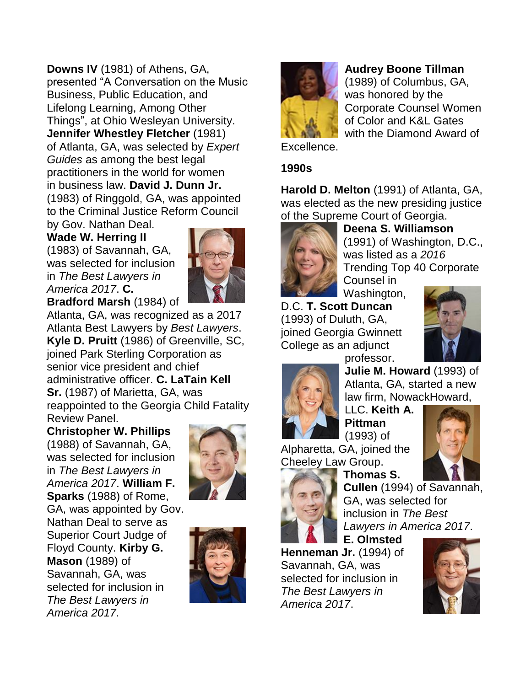**Downs IV** (1981) of Athens, GA, presented "A Conversation on the Music Business, Public Education, and Lifelong Learning, Among Other Things", at Ohio Wesleyan University. **Jennifer Whestley Fletcher** (1981) of Atlanta, GA, was selected by *Expert Guides* as among the best legal practitioners in the world for women in business law. **David J. Dunn Jr.**  (1983) of Ringgold, GA, was appointed to the Criminal Justice Reform Council by Gov. Nathan Deal.

**Wade W. Herring II**  (1983) of Savannah, GA, was selected for inclusion in *The Best Lawyers in America 2017*. **C.** 



**Bradford Marsh** (1984) of Atlanta, GA, was recognized as a 2017 Atlanta Best Lawyers by *Best Lawyers*. **Kyle D. Pruitt** (1986) of Greenville, SC, joined Park Sterling Corporation as senior vice president and chief administrative officer. **C. LaTain Kell Sr.** (1987) of Marietta, GA, was reappointed to the Georgia Child Fatality Review Panel.

**Christopher W. Phillips** (1988) of Savannah, GA, was selected for inclusion in *The Best Lawyers in America 2017*. **William F. Sparks** (1988) of Rome, GA, was appointed by Gov. Nathan Deal to serve as Superior Court Judge of Floyd County. **Kirby G. Mason** (1989) of Savannah, GA, was selected for inclusion in *The Best Lawyers in America 2017.* 







**Audrey Boone Tillman** 

(1989) of Columbus, GA, was honored by the Corporate Counsel Women of Color and K&L Gates with the Diamond Award of

Excellence.

# **1990s**

**Harold D. Melton** (1991) of Atlanta, GA, was elected as the new presiding justice of the Supreme Court of Georgia.



**Deena S. Williamson**  (1991) of Washington, D.C., was listed as a *2016*  Trending Top 40 Corporate Counsel in

Washington, D.C. **T. Scott Duncan** 

(1993) of Duluth, GA, joined Georgia Gwinnett College as an adjunct





professor. **Julie M. Howard** (1993) of Atlanta, GA, started a new law firm, NowackHoward,

LLC. **Keith A. Pittman**  (1993) of

Alpharetta, GA, joined the Cheeley Law Group.



**Thomas S. Cullen** (1994) of Savannah, GA, was selected for inclusion in *The Best Lawyers in America 2017*.

**E. Olmsted Henneman Jr.** (1994) of Savannah, GA, was selected for inclusion in *The Best Lawyers in America 2017*.

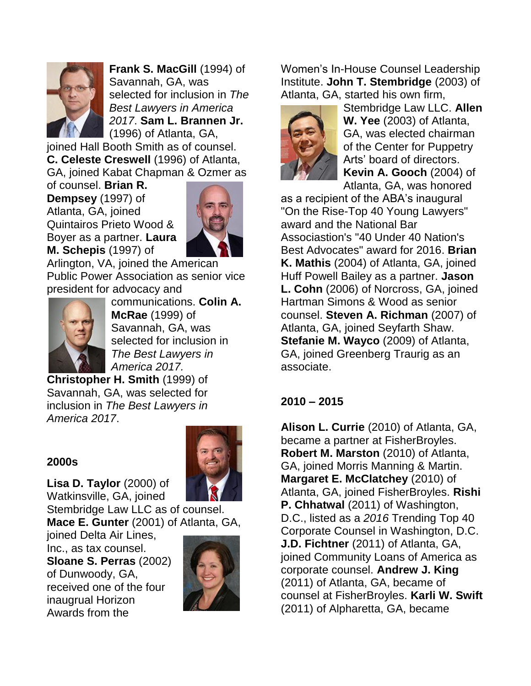

**Frank S. MacGill** (1994) of Savannah, GA, was selected for inclusion in *The Best Lawyers in America 2017*. **Sam L. Brannen Jr.** (1996) of Atlanta, GA,

joined Hall Booth Smith as of counsel. **C. Celeste Creswell** (1996) of Atlanta, GA, joined Kabat Chapman & Ozmer as

of counsel. **Brian R. Dempsey** (1997) of Atlanta, GA, joined Quintairos Prieto Wood & Boyer as a partner. **Laura M. Schepis** (1997) of



Arlington, VA, joined the American Public Power Association as senior vice president for advocacy and



communications. **Colin A. McRae** (1999) of Savannah, GA, was selected for inclusion in *The Best Lawyers in America 2017.* 

**Christopher H. Smith** (1999) of Savannah, GA, was selected for inclusion in *The Best Lawyers in America 2017*.

## **2000s**



**Lisa D. Taylor** (2000) of Watkinsville, GA, joined

Stembridge Law LLC as of counsel. **Mace E. Gunter** (2001) of Atlanta, GA,

joined Delta Air Lines, Inc., as tax counsel. **Sloane S. Perras** (2002) of Dunwoody, GA, received one of the four inaugrual Horizon Awards from the



Women's In-House Counsel Leadership Institute. **John T. Stembridge** (2003) of Atlanta, GA, started his own firm,



Stembridge Law LLC. **Allen W. Yee** (2003) of Atlanta, GA, was elected chairman of the Center for Puppetry Arts' board of directors. **Kevin A. Gooch** (2004) of Atlanta, GA, was honored

as a recipient of the ABA's inaugural "On the Rise-Top 40 Young Lawyers" award and the National Bar Associastion's "40 Under 40 Nation's Best Advocates" award for 2016. **Brian K. Mathis** (2004) of Atlanta, GA, joined Huff Powell Bailey as a partner. **Jason L. Cohn** (2006) of Norcross, GA, joined Hartman Simons & Wood as senior counsel. **Steven A. Richman** (2007) of Atlanta, GA, joined Seyfarth Shaw. **Stefanie M. Wayco** (2009) of Atlanta, GA, joined Greenberg Traurig as an associate.

# **2010 – 2015**

**Alison L. Currie** (2010) of Atlanta, GA, became a partner at FisherBroyles. **Robert M. Marston** (2010) of Atlanta, GA, joined Morris Manning & Martin. **Margaret E. McClatchey** (2010) of Atlanta, GA, joined FisherBroyles. **Rishi P. Chhatwal** (2011) of Washington, D.C., listed as a *2016* Trending Top 40 Corporate Counsel in Washington, D.C. **J.D. Fichtner** (2011) of Atlanta, GA, joined Community Loans of America as corporate counsel. **Andrew J. King** (2011) of Atlanta, GA, became of counsel at FisherBroyles. **Karli W. Swift**  (2011) of Alpharetta, GA, became